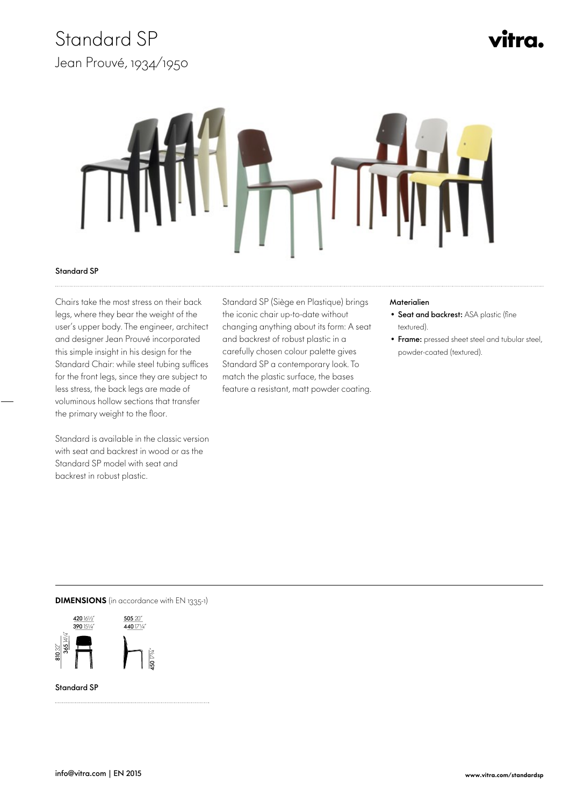### Standard SP Jean Prouvé, 1934/1950

# vitra.



#### Standard SP

 Chairs take the most stress on their back legs, where they bear the weight of the user's upper body. The engineer, architect and designer Jean Prouvé incorporated this simple insight in his design for the Standard Chair: while steel tubing suffices for the front legs, since they are subject to less stress, the back legs are made of voluminous hollow sections that transfer the primary weight to the floor.

Standard is available in the classic version with seat and backrest in wood or as the Standard SP model with seat and backrest in robust plastic.

 Standard SP (Siège en Plastique) brings the iconic chair up-to-date without changing anything about its form: A seat and backrest of robust plastic in a carefully chosen colour palette gives Standard SP a contemporary look. To match the plastic surface, the bases feature a resistant, matt powder coating.

#### **Materialien**

- Seat and backrest: ASA plastic (fine textured).
- Frame: pressed sheet steel and tubular steel, powder-coated (textured).

### **DIMENSIONS** (in accordance with EN 1335-1)



Standard SP